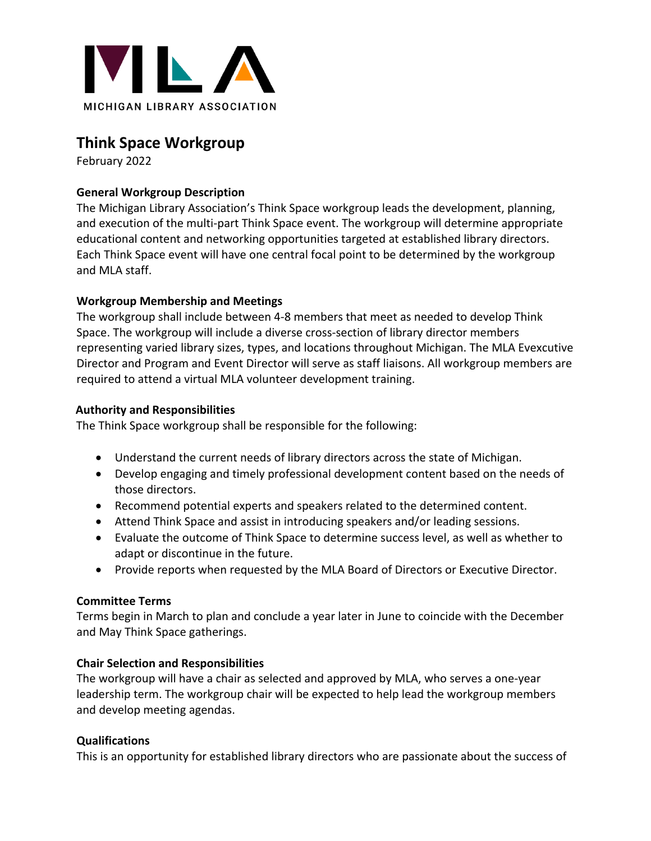

# **Think Space Workgroup**

February 2022

### **General Workgroup Description**

The Michigan Library Association's Think Space workgroup leads the development, planning, and execution of the multi-part Think Space event. The workgroup will determine appropriate educational content and networking opportunities targeted at established library directors. Each Think Space event will have one central focal point to be determined by the workgroup and MLA staff.

## **Workgroup Membership and Meetings**

The workgroup shall include between 4-8 members that meet as needed to develop Think Space. The workgroup will include a diverse cross-section of library director members representing varied library sizes, types, and locations throughout Michigan. The MLA Evexcutive Director and Program and Event Director will serve as staff liaisons. All workgroup members are required to attend a virtual MLA volunteer development training.

#### **Authority and Responsibilities**

The Think Space workgroup shall be responsible for the following:

- Understand the current needs of library directors across the state of Michigan.
- Develop engaging and timely professional development content based on the needs of those directors.
- Recommend potential experts and speakers related to the determined content.
- Attend Think Space and assist in introducing speakers and/or leading sessions.
- Evaluate the outcome of Think Space to determine success level, as well as whether to adapt or discontinue in the future.
- Provide reports when requested by the MLA Board of Directors or Executive Director.

#### **Committee Terms**

Terms begin in March to plan and conclude a year later in June to coincide with the December and May Think Space gatherings.

#### **Chair Selection and Responsibilities**

The workgroup will have a chair as selected and approved by MLA, who serves a one-year leadership term. The workgroup chair will be expected to help lead the workgroup members and develop meeting agendas.

## **Qualifications**

This is an opportunity for established library directors who are passionate about the success of